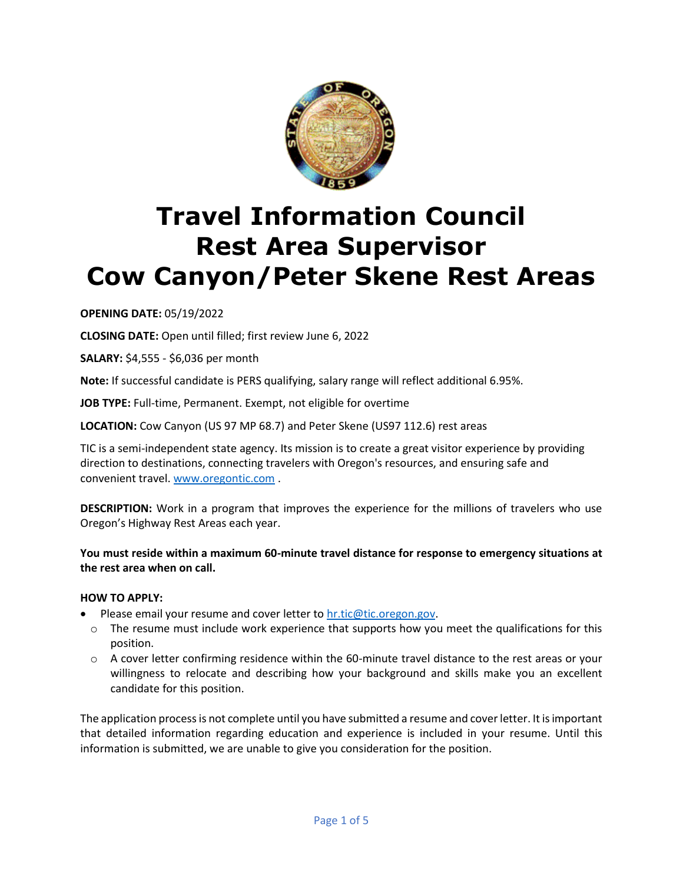

# **Travel Information Council Rest Area Supervisor Cow Canyon/Peter Skene Rest Areas**

# **OPENING DATE:** 05/19/2022

**CLOSING DATE:** Open until filled; first review June 6, 2022

**SALARY:** \$4,555 - \$6,036 per month

**Note:** If successful candidate is PERS qualifying, salary range will reflect additional 6.95%.

**JOB TYPE:** Full-time, Permanent. Exempt, not eligible for overtime

**LOCATION:** Cow Canyon (US 97 MP 68.7) and Peter Skene (US97 112.6) rest areas

TIC is a semi-independent state agency. Its mission is to create a great visitor experience by providing direction to destinations, connecting travelers with Oregon's resources, and ensuring safe and convenient travel[. www.oregontic.com](http://www.oregontic.com/) .

**DESCRIPTION:** Work in a program that improves the experience for the millions of travelers who use Oregon's Highway Rest Areas each year.

**You must reside within a maximum 60-minute travel distance for response to emergency situations at the rest area when on call.** 

#### **HOW TO APPLY:**

- Please email your resume and cover letter to [hr.tic@tic.oregon.gov.](mailto:hr.tic@tic.oregon.gov)
	- $\circ$  The resume must include work experience that supports how you meet the qualifications for this position.
	- $\circ$  A cover letter confirming residence within the 60-minute travel distance to the rest areas or your willingness to relocate and describing how your background and skills make you an excellent candidate for this position.

The application process is not complete until you have submitted a resume and cover letter. It is important that detailed information regarding education and experience is included in your resume. Until this information is submitted, we are unable to give you consideration for the position.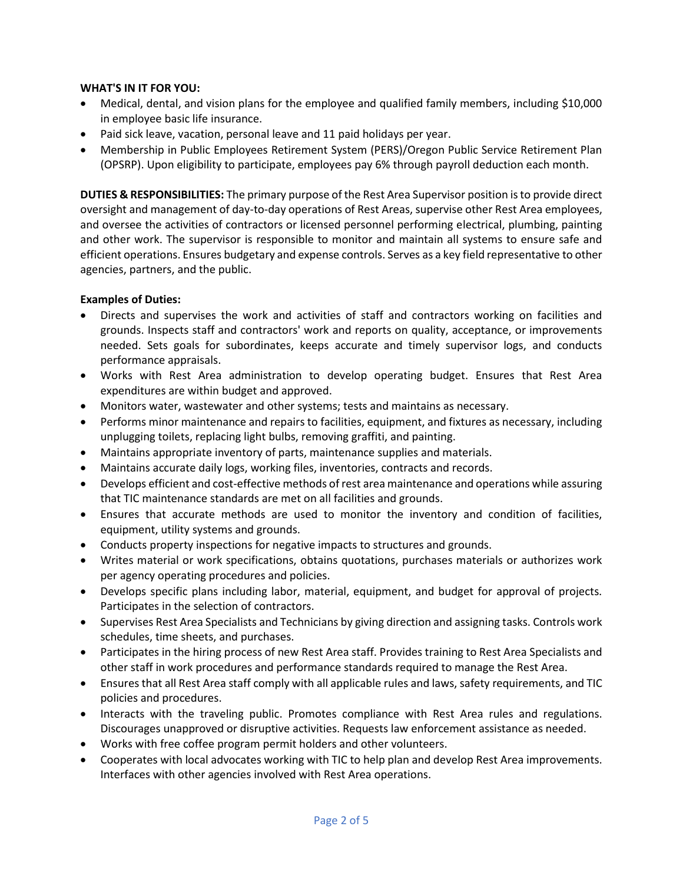#### **WHAT'S IN IT FOR YOU:**

- Medical, dental, and vision plans for the employee and qualified family members, including \$10,000 in employee basic life insurance.
- Paid sick leave, vacation, personal leave and 11 paid holidays per year.
- Membership in Public Employees Retirement System (PERS)/Oregon Public Service Retirement Plan (OPSRP). Upon eligibility to participate, employees pay 6% through payroll deduction each month.

**DUTIES & RESPONSIBILITIES:** The primary purpose of the Rest Area Supervisor position is to provide direct oversight and management of day-to-day operations of Rest Areas, supervise other Rest Area employees, and oversee the activities of contractors or licensed personnel performing electrical, plumbing, painting and other work. The supervisor is responsible to monitor and maintain all systems to ensure safe and efficient operations. Ensures budgetary and expense controls. Serves as a key field representative to other agencies, partners, and the public.

### **Examples of Duties:**

- Directs and supervises the work and activities of staff and contractors working on facilities and grounds. Inspects staff and contractors' work and reports on quality, acceptance, or improvements needed. Sets goals for subordinates, keeps accurate and timely supervisor logs, and conducts performance appraisals.
- Works with Rest Area administration to develop operating budget. Ensures that Rest Area expenditures are within budget and approved.
- Monitors water, wastewater and other systems; tests and maintains as necessary.
- Performs minor maintenance and repairs to facilities, equipment, and fixtures as necessary, including unplugging toilets, replacing light bulbs, removing graffiti, and painting.
- Maintains appropriate inventory of parts, maintenance supplies and materials.
- Maintains accurate daily logs, working files, inventories, contracts and records.
- Develops efficient and cost-effective methods of rest area maintenance and operations while assuring that TIC maintenance standards are met on all facilities and grounds.
- Ensures that accurate methods are used to monitor the inventory and condition of facilities, equipment, utility systems and grounds.
- Conducts property inspections for negative impacts to structures and grounds.
- Writes material or work specifications, obtains quotations, purchases materials or authorizes work per agency operating procedures and policies.
- Develops specific plans including labor, material, equipment, and budget for approval of projects. Participates in the selection of contractors.
- Supervises Rest Area Specialists and Technicians by giving direction and assigning tasks. Controls work schedules, time sheets, and purchases.
- Participates in the hiring process of new Rest Area staff. Provides training to Rest Area Specialists and other staff in work procedures and performance standards required to manage the Rest Area.
- Ensures that all Rest Area staff comply with all applicable rules and laws, safety requirements, and TIC policies and procedures.
- Interacts with the traveling public. Promotes compliance with Rest Area rules and regulations. Discourages unapproved or disruptive activities. Requests law enforcement assistance as needed.
- Works with free coffee program permit holders and other volunteers.
- Cooperates with local advocates working with TIC to help plan and develop Rest Area improvements. Interfaces with other agencies involved with Rest Area operations.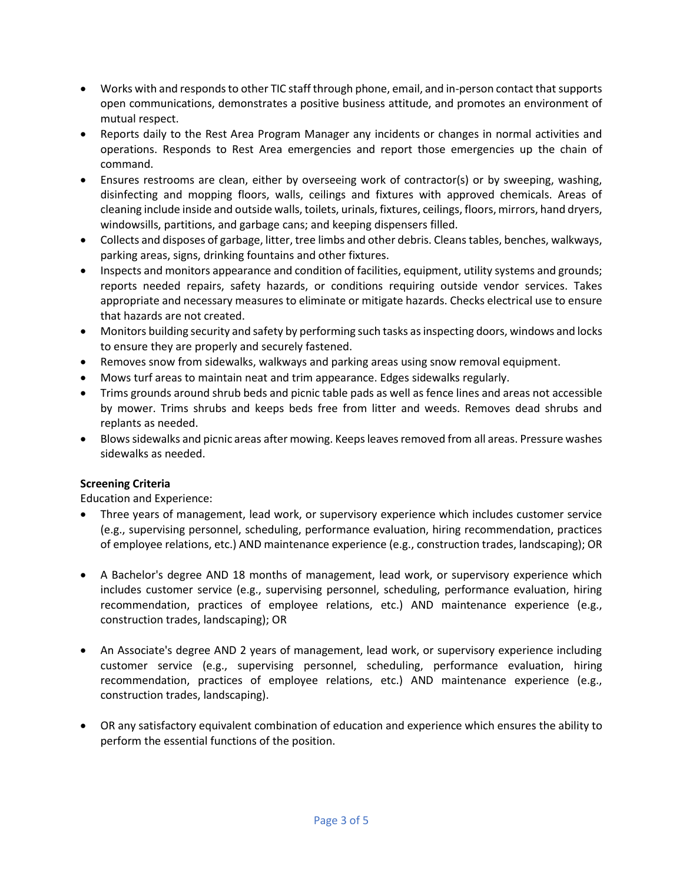- Works with and responds to other TIC staff through phone, email, and in-person contact that supports open communications, demonstrates a positive business attitude, and promotes an environment of mutual respect.
- Reports daily to the Rest Area Program Manager any incidents or changes in normal activities and operations. Responds to Rest Area emergencies and report those emergencies up the chain of command.
- Ensures restrooms are clean, either by overseeing work of contractor(s) or by sweeping, washing, disinfecting and mopping floors, walls, ceilings and fixtures with approved chemicals. Areas of cleaning include inside and outside walls, toilets, urinals, fixtures, ceilings, floors, mirrors, hand dryers, windowsills, partitions, and garbage cans; and keeping dispensers filled.
- Collects and disposes of garbage, litter, tree limbs and other debris. Cleans tables, benches, walkways, parking areas, signs, drinking fountains and other fixtures.
- Inspects and monitors appearance and condition of facilities, equipment, utility systems and grounds; reports needed repairs, safety hazards, or conditions requiring outside vendor services. Takes appropriate and necessary measures to eliminate or mitigate hazards. Checks electrical use to ensure that hazards are not created.
- Monitors building security and safety by performing such tasks as inspecting doors, windows and locks to ensure they are properly and securely fastened.
- Removes snow from sidewalks, walkways and parking areas using snow removal equipment.
- Mows turf areas to maintain neat and trim appearance. Edges sidewalks regularly.
- Trims grounds around shrub beds and picnic table pads as well as fence lines and areas not accessible by mower. Trims shrubs and keeps beds free from litter and weeds. Removes dead shrubs and replants as needed.
- Blows sidewalks and picnic areas after mowing. Keeps leaves removed from all areas. Pressure washes sidewalks as needed.

## **Screening Criteria**

Education and Experience:

- Three years of management, lead work, or supervisory experience which includes customer service (e.g., supervising personnel, scheduling, performance evaluation, hiring recommendation, practices of employee relations, etc.) AND maintenance experience (e.g., construction trades, landscaping); OR
- A Bachelor's degree AND 18 months of management, lead work, or supervisory experience which includes customer service (e.g., supervising personnel, scheduling, performance evaluation, hiring recommendation, practices of employee relations, etc.) AND maintenance experience (e.g., construction trades, landscaping); OR
- An Associate's degree AND 2 years of management, lead work, or supervisory experience including customer service (e.g., supervising personnel, scheduling, performance evaluation, hiring recommendation, practices of employee relations, etc.) AND maintenance experience (e.g., construction trades, landscaping).
- OR any satisfactory equivalent combination of education and experience which ensures the ability to perform the essential functions of the position.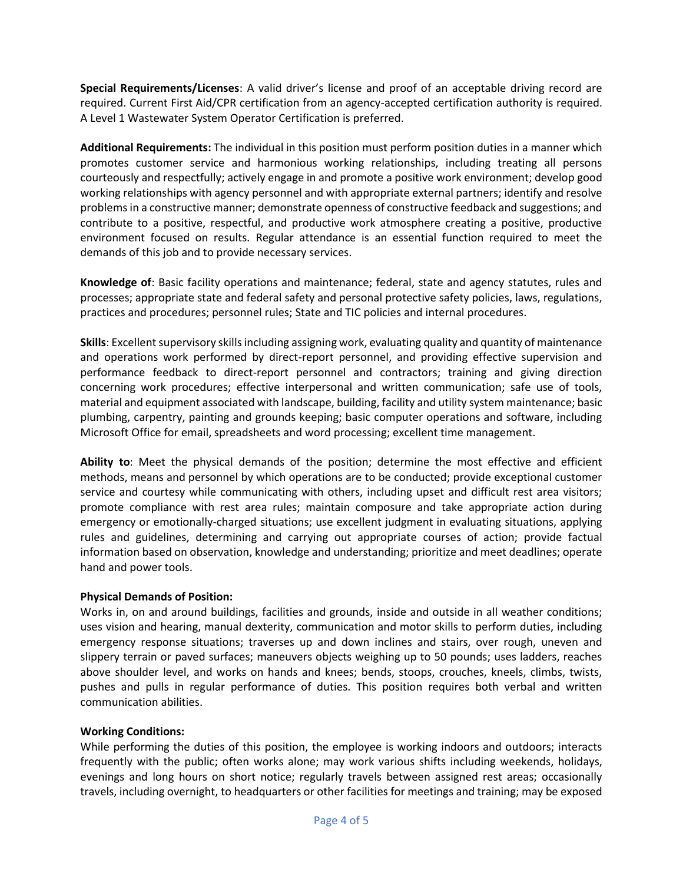**Special Requirements/Licenses**: A valid driver's license and proof of an acceptable driving record are required. Current First Aid/CPR certification from an agency-accepted certification authority is required. A Level 1 Wastewater System Operator Certification is preferred.

**Additional Requirements:** The individual in this position must perform position duties in a manner which promotes customer service and harmonious working relationships, including treating all persons courteously and respectfully; actively engage in and promote a positive work environment; develop good working relationships with agency personnel and with appropriate external partners; identify and resolve problems in a constructive manner; demonstrate openness of constructive feedback and suggestions; and contribute to a positive, respectful, and productive work atmosphere creating a positive, productive environment focused on results*.* Regular attendance is an essential function required to meet the demands of this job and to provide necessary services.

**Knowledge of**: Basic facility operations and maintenance; federal, state and agency statutes, rules and processes; appropriate state and federal safety and personal protective safety policies, laws, regulations, practices and procedures; personnel rules; State and TIC policies and internal procedures.

**Skills**: Excellent supervisory skills including assigning work, evaluating quality and quantity of maintenance and operations work performed by direct-report personnel, and providing effective supervision and performance feedback to direct-report personnel and contractors; training and giving direction concerning work procedures; effective interpersonal and written communication; safe use of tools, material and equipment associated with landscape, building, facility and utility system maintenance; basic plumbing, carpentry, painting and grounds keeping; basic computer operations and software, including Microsoft Office for email, spreadsheets and word processing; excellent time management.

**Ability to**: Meet the physical demands of the position; determine the most effective and efficient methods, means and personnel by which operations are to be conducted; provide exceptional customer service and courtesy while communicating with others, including upset and difficult rest area visitors; promote compliance with rest area rules; maintain composure and take appropriate action during emergency or emotionally-charged situations; use excellent judgment in evaluating situations, applying rules and guidelines, determining and carrying out appropriate courses of action; provide factual information based on observation, knowledge and understanding; prioritize and meet deadlines; operate hand and power tools.

#### **Physical Demands of Position:**

Works in, on and around buildings, facilities and grounds, inside and outside in all weather conditions; uses vision and hearing, manual dexterity, communication and motor skills to perform duties, including emergency response situations; traverses up and down inclines and stairs, over rough, uneven and slippery terrain or paved surfaces; maneuvers objects weighing up to 50 pounds; uses ladders, reaches above shoulder level, and works on hands and knees; bends, stoops, crouches, kneels, climbs, twists, pushes and pulls in regular performance of duties. This position requires both verbal and written communication abilities.

#### **Working Conditions:**

While performing the duties of this position, the employee is working indoors and outdoors; interacts frequently with the public; often works alone; may work various shifts including weekends, holidays, evenings and long hours on short notice; regularly travels between assigned rest areas; occasionally travels, including overnight, to headquarters or other facilities for meetings and training; may be exposed